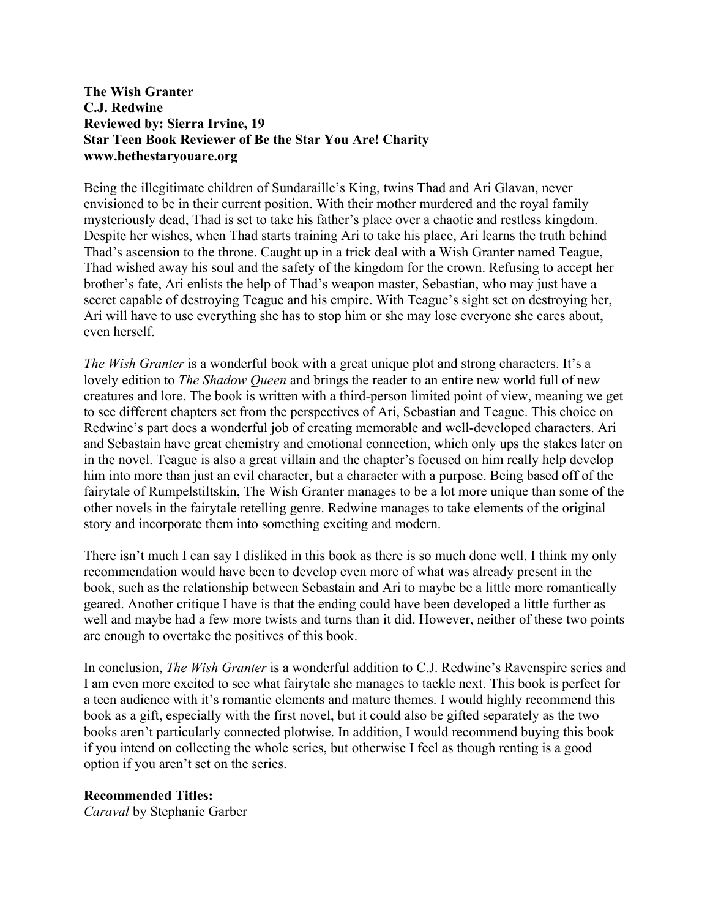## **The Wish Granter C.J. Redwine Reviewed by: Sierra Irvine, 19 Star Teen Book Reviewer of Be the Star You Are! Charity www.bethestaryouare.org**

Being the illegitimate children of Sundaraille's King, twins Thad and Ari Glavan, never envisioned to be in their current position. With their mother murdered and the royal family mysteriously dead, Thad is set to take his father's place over a chaotic and restless kingdom. Despite her wishes, when Thad starts training Ari to take his place, Ari learns the truth behind Thad's ascension to the throne. Caught up in a trick deal with a Wish Granter named Teague, Thad wished away his soul and the safety of the kingdom for the crown. Refusing to accept her brother's fate, Ari enlists the help of Thad's weapon master, Sebastian, who may just have a secret capable of destroying Teague and his empire. With Teague's sight set on destroying her, Ari will have to use everything she has to stop him or she may lose everyone she cares about, even herself.

*The Wish Granter* is a wonderful book with a great unique plot and strong characters. It's a lovely edition to *The Shadow Queen* and brings the reader to an entire new world full of new creatures and lore. The book is written with a third-person limited point of view, meaning we get to see different chapters set from the perspectives of Ari, Sebastian and Teague. This choice on Redwine's part does a wonderful job of creating memorable and well-developed characters. Ari and Sebastain have great chemistry and emotional connection, which only ups the stakes later on in the novel. Teague is also a great villain and the chapter's focused on him really help develop him into more than just an evil character, but a character with a purpose. Being based off of the fairytale of Rumpelstiltskin, The Wish Granter manages to be a lot more unique than some of the other novels in the fairytale retelling genre. Redwine manages to take elements of the original story and incorporate them into something exciting and modern.

There isn't much I can say I disliked in this book as there is so much done well. I think my only recommendation would have been to develop even more of what was already present in the book, such as the relationship between Sebastain and Ari to maybe be a little more romantically geared. Another critique I have is that the ending could have been developed a little further as well and maybe had a few more twists and turns than it did. However, neither of these two points are enough to overtake the positives of this book.

In conclusion, *The Wish Granter* is a wonderful addition to C.J. Redwine's Ravenspire series and I am even more excited to see what fairytale she manages to tackle next. This book is perfect for a teen audience with it's romantic elements and mature themes. I would highly recommend this book as a gift, especially with the first novel, but it could also be gifted separately as the two books aren't particularly connected plotwise. In addition, I would recommend buying this book if you intend on collecting the whole series, but otherwise I feel as though renting is a good option if you aren't set on the series.

## **Recommended Titles:**

*Caraval* by Stephanie Garber